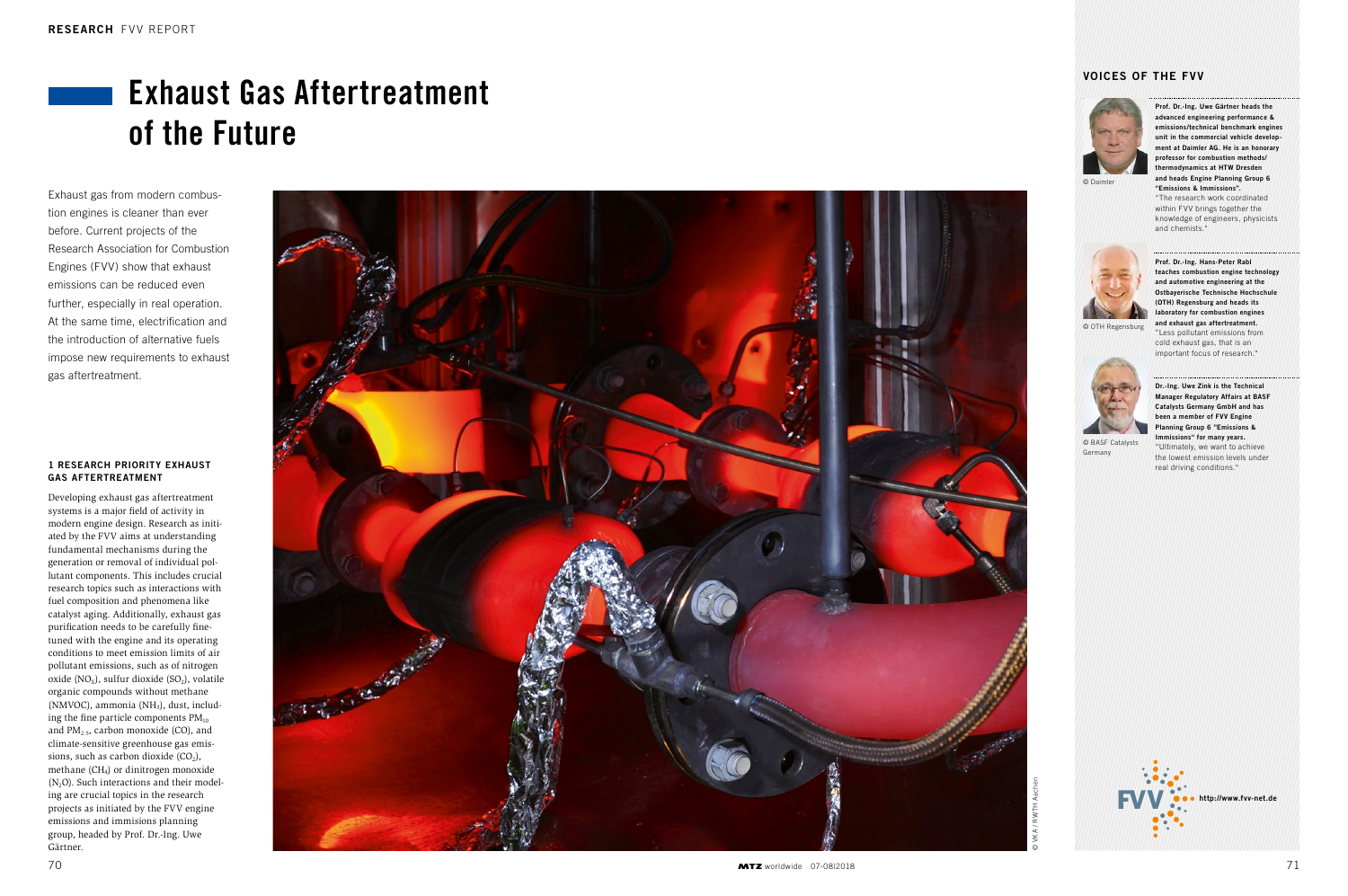### 1 RESEARCH PRIORITY EXHAUST GAS AFTERTREATMENT

Developing exhaust gas aftertreatment systems is a major field of activity in modern engine design. Research as initiated by the FVV aims at understanding fundamental mechanisms during the generation or removal of individual pollutant components. This includes crucial research topics such as interactions with fuel composition and phenomena like catalyst aging. Additionally, exhaust gas purification needs to be carefully finetuned with the engine and its operating conditions to meet emission limits of air pollutant emissions, such as of nitrogen oxide ( $NO<sub>X</sub>$ ), sulfur dioxide ( $SO<sub>2</sub>$ ), volatile organic compounds without methane (NMVOC), ammonia (NH<sub>3</sub>), dust, including the fine particle components  $PM_{10}$ and  $PM<sub>2.5</sub>$ , carbon monoxide (CO), and climate-sensitive greenhouse gas emissions, such as carbon dioxide  $(CO_2)$ , methane  $(CH_4)$  or dinitrogen monoxide  $(N_2O)$ . Such interactions and their modeling are crucial topics in the research projects as initiated by the FVV engine emissions and immisions planning group, headed by Prof. Dr.-Ing. Uwe Gärtner.



# Exhaust Gas Aftertreatment of the Future

Exhaust gas from modern combustion engines is cleaner than ever before. Current projects of the Research Association for Combustion Engines (FVV) show that exhaust emissions can be reduced even further, especially in real operation. At the same time, electrification and the introduction of alternative fuels impose new requirements to exhaust gas aftertreatment.

# VOICES OF THE FVV

Prof. Dr.-Ing. Uwe Gärtner heads the advanced engineering performance & emissions/technical benchmark engines unit in the commercial vehicle development at Daimler AG. He is an honorary professor for combustion methods/ thermodynamics at HTW Dresden and heads Engine Planning Group 6 "Emissions & Immissions".

"The research work coordinated within FVV brings together the knowledge of engineers, physicists and chemists."

Prof. Dr.-Ing. Hans-Peter Rabl teaches combustion engine technology and automotive engineering at the Ostbayerische Technische Hochschule (OTH) Regensburg and heads its laboratory for combustion engines and exhaust gas aftertreatment. "Less pollutant emissions from cold exhaust gas, that is an important focus of research."

Dr.-Ing. Uwe Zink is the Technical Manager Regulatory Affairs at BASF Catalysts Germany GmbH and has been a member of FVV Engine Planning Group 6 "Emissions & Immissions" for many years. "Ultimately, we want to achieve the lowest emission levels under real driving conditions."

http://www.fvv-net.de



© Daimler



© OTH Regensburg



© BASF Catalysts Germany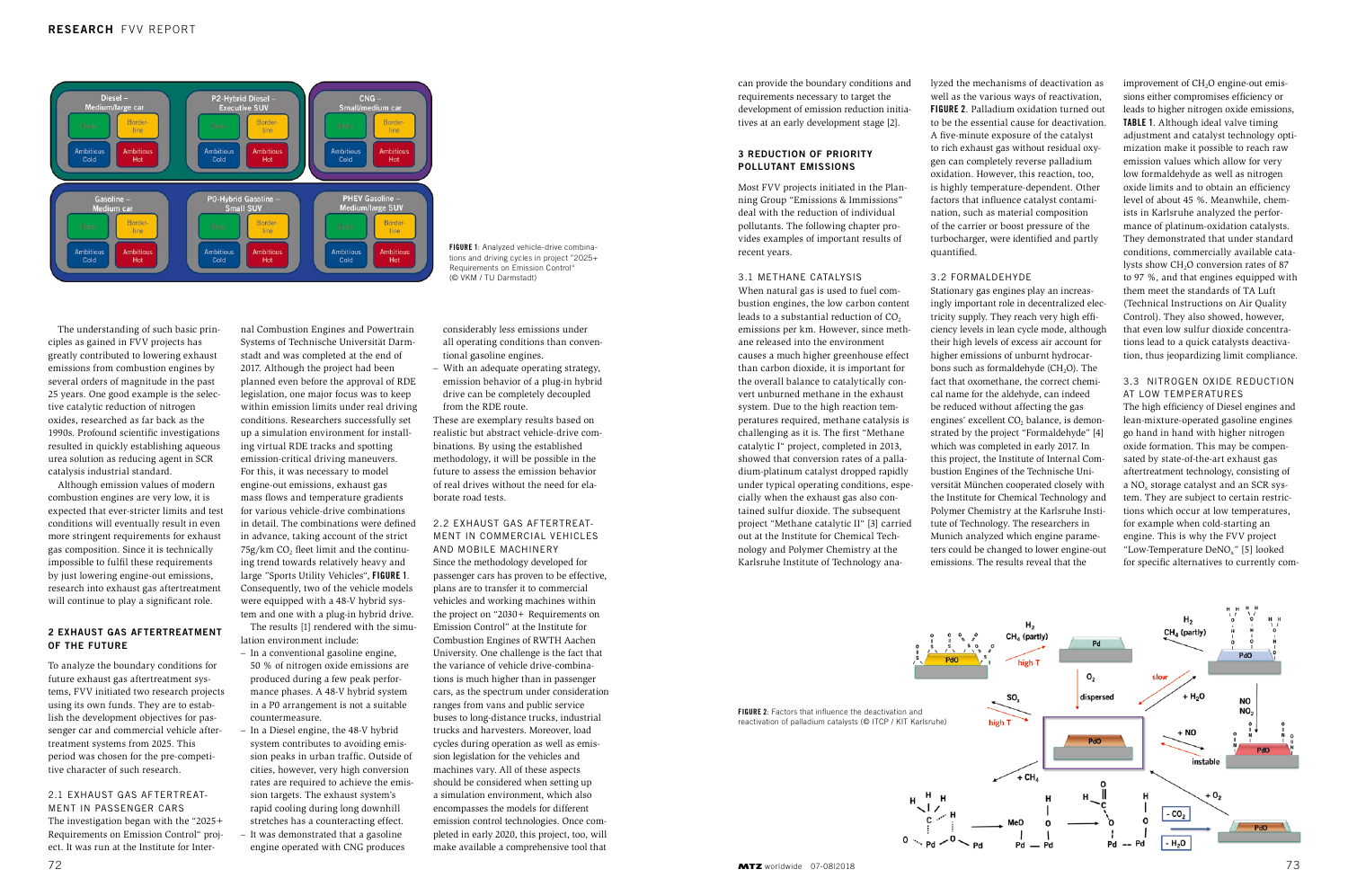The understanding of such basic principles as gained in FVV projects has greatly contributed to lowering exhaust emissions from combustion engines by several orders of magnitude in the past 25 years. One good example is the selective catalytic reduction of nitrogen oxides, researched as far back as the 1990s. Profound scientific investigations resulted in quickly establishing aqueous urea solution as reducing agent in SCR catalysis industrial standard.

Although emission values of modern combustion engines are very low, it is expected that ever-stricter limits and test conditions will eventually result in even more stringent requirements for exhaust gas composition. Since it is technically impossible to fulfil these requirements by just lowering engine-out emissions, research into exhaust gas aftertreatment will continue to play a significant role.

#### 2 EXHAUST GAS AFTERTREATMENT OF THE FUTURE

To analyze the boundary conditions for future exhaust gas aftertreatment systems, FVV initiated two research projects using its own funds. They are to establish the development objectives for passenger car and commercial vehicle aftertreatment systems from 2025. This period was chosen for the pre-competitive character of such research.

2.1 EXHAUST GAS AFTERTREAT-MENT IN PASSENGER CARS The investigation began with the "2025+ Requirements on Emission Control" project. It was run at the Institute for Internal Combustion Engines and Powertrain

Systems of Technische Universität Darmstadt and was completed at the end of 2017. Although the project had been planned even before the approval of RDE legislation, one major focus was to keep within emission limits under real driving conditions. Researchers successfully set up a simulation environment for installing virtual RDE tracks and spotting emission-critical driving maneuvers. For this, it was necessary to model engine-out emissions, exhaust gas mass flows and temperature gradients for various vehicle-drive combinations in detail. The combinations were defined in advance, taking account of the strict  $75g/km$  CO<sub>2</sub> fleet limit and the continuing trend towards relatively heavy and large "Sports Utility Vehicles", FIGURE 1. Consequently, two of the vehicle models were equipped with a 48-V hybrid system and one with a plug-in hybrid drive.

The results [1] rendered with the simulation environment include: – In a conventional gasoline engine,

- 50 % of nitrogen oxide emissions are produced during a few peak performance phases. A 48-V hybrid system in a P0 arrangement is not a suitable countermeasure.
- In a Diesel engine, the 48-V hybrid system contributes to avoiding emission peaks in urban traffic. Outside of cities, however, very high conversion rates are required to achieve the emission targets. The exhaust system's rapid cooling during long downhill stretches has a counteracting effect.
- It was demonstrated that a gasoline engine operated with CNG produces

considerably less emissions under all operating conditions than conventional gasoline engines.

– With an adequate operating strategy, emission behavior of a plug-in hybrid drive can be completely decoupled from the RDE route.

These are exemplary results based on realistic but abstract vehicle-drive combinations. By using the established methodology, it will be possible in the future to assess the emission behavior of real drives without the need for elaborate road tests.

## 2.2 EXHAUST GAS AFTERTREAT-MENT IN COMMERCIAL VEHICLES AND MOBILE MACHINERY Since the methodology developed for passenger cars has proven to be effective, plans are to transfer it to commercial

vehicles and working machines within the project on "2030+ Requirements on Emission Control" at the Institute for Combustion Engines of RWTH Aachen University. One challenge is the fact that the variance of vehicle drive-combinations is much higher than in passenger cars, as the spectrum under consideration ranges from vans and public service buses to long-distance trucks, industrial trucks and harvesters. Moreover, load cycles during operation as well as emission legislation for the vehicles and machines vary. All of these aspects should be considered when setting up a simulation environment, which also encompasses the models for different emission control technologies. Once completed in early 2020, this project, too, will make available a comprehensive tool that

improvement of CH<sub>2</sub>O engine-out emissions either compromises efficiency or leads to higher nitrogen oxide emissions, TABLE 1. Although ideal valve timing adjustment and catalyst technology optimization make it possible to reach raw emission values which allow for very low formaldehyde as well as nitrogen oxide limits and to obtain an efficiency level of about 45 %. Meanwhile, chemists in Karlsruhe analyzed the performance of platinum-oxidation catalysts. They demonstrated that under standard conditions, commercially available catalysts show CH<sub>2</sub>O conversion rates of 87 to 97 %, and that engines equipped with them meet the standards of TA Luft (Technical Instructions on Air Quality Control). They also showed, however, that even low sulfur dioxide concentrations lead to a quick catalysts deactivation, thus jeopardizing limit compliance.

FIGURE 1: Analyzed vehicle-drive combinations and driving cycles in project "2025+ Requirements on Emission Control" (© VKM / TU Darmstadt)



can provide the boundary conditions and requirements necessary to target the development of emission reduction initiatives at an early development stage [2].

#### 3 REDUCTION OF PRIORITY POLLUTANT EMISSIONS

Most FVV projects initiated in the Planning Group "Emissions & Immissions" deal with the reduction of individual pollutants. The following chapter provides examples of important results of recent years.

#### 3.1 METHANE CATALYSIS

When natural gas is used to fuel combustion engines, the low carbon content leads to a substantial reduction of  $CO<sub>2</sub>$ emissions per km. However, since methane released into the environment causes a much higher greenhouse effect than carbon dioxide, it is important for the overall balance to catalytically convert unburned methane in the exhaust system. Due to the high reaction temperatures required, methane catalysis is challenging as it is. The first "Methane catalytic I" project, completed in 2013, showed that conversion rates of a palladium-platinum catalyst dropped rapidly under typical operating conditions, especially when the exhaust gas also contained sulfur dioxide. The subsequent project "Methane catalytic II" [3] carried out at the Institute for Chemical Technology and Polymer Chemistry at the Karlsruhe Institute of Technology ana-

lyzed the mechanisms of deactivation as well as the various ways of reactivation, FIGURE 2. Palladium oxidation turned out to be the essential cause for deactivation. A five-minute exposure of the catalyst to rich exhaust gas without residual oxygen can completely reverse palladium oxidation. However, this reaction, too, is highly temperature-dependent. Other factors that influence catalyst contamination, such as material composition of the carrier or boost pressure of the turbocharger, were identified and partly quantified.

# 3.2 FORMALDEHYDE

Stationary gas engines play an increasingly important role in decentralized electricity supply. They reach very high efficiency levels in lean cycle mode, although their high levels of excess air account for higher emissions of unburnt hydrocarbons such as formaldehyde  $(CH<sub>2</sub>O)$ . The fact that oxomethane, the correct chemical name for the aldehyde, can indeed be reduced without affecting the gas engines' excellent CO<sub>2</sub> balance, is demonstrated by the project "Formaldehyde" [4] which was completed in early 2017. In this project, the Institute of Internal Combustion Engines of the Technische Universität München cooperated closely with the Institute for Chemical Technology and Polymer Chemistry at the Karlsruhe Institute of Technology. The researchers in Munich analyzed which engine parameters could be changed to lower engine-out emissions. The results reveal that the

# 3.3 NITROGEN OXIDE REDUCTION AT LOW TEMPERATURES

The high efficiency of Diesel engines and lean-mixture-operated gasoline engines go hand in hand with higher nitrogen oxide formation. This may be compensated by state-of-the-art exhaust gas aftertreatment technology, consisting of a NO<sub>y</sub> storage catalyst and an SCR system. They are subject to certain restrictions which occur at low temperatures, for example when cold-starting an engine. This is why the FVV project "Low-Temperature DeNO<sub>x</sub>" [5] looked for specific alternatives to currently com-